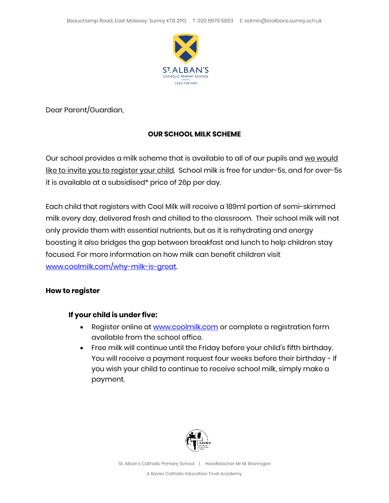

Dear Parent/Guardian,

## **OUR SCHOOL MILK SCHEME**

Our school provides a milk scheme that is available to all of our pupils and we would like to invite you to register your child. School milk is free for under-5s, and for over-5s it is available at a subsidised\* price of 26p per day.

Each child that registers with Cool Milk will receive a 189ml portion of semi-skimmed milk every day, delivered fresh and chilled to the classroom. Their school milk will not only provide them with essential nutrients, but as it is rehydrating and energy boosting it also bridges the gap between breakfast and lunch to help children stay focused. For more information on how milk can benefit children visit [www.coolmilk.com/why-milk-is-great.](http://www.coolmilk.com/why-milk-is-great)

## **How to register**

## **If your child is under five:**

- Register online at [www.coolmilk.com](http://www.coolmilk.com/) or complete a registration form available from the school office.
- Free milk will continue until the Friday before your child's fifth birthday. You will receive a payment request four weeks before their birthday - if you wish your child to continue to receive school milk, simply make a payment.



St. Alban's Catholic Primary School | Headteacher Mr M. Brannigan

A Xavier Catholic Education Trust Academy